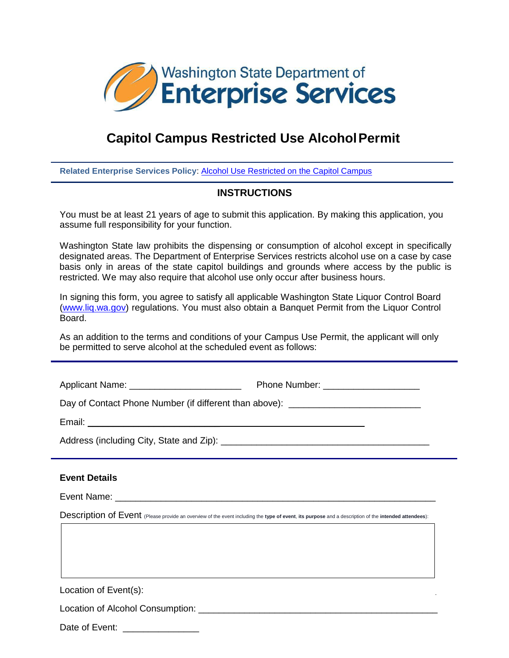

## **Capitol Campus Restricted Use AlcoholPermit**

**Related Enterprise Services Policy**: [Alcohol Use Restricted on the Capitol Campus](http://www.des.wa.gov/SiteCollectionDocuments/Facilities/CapitolCampus/CampusAlcoholUsePolicy.pdf)

## **INSTRUCTIONS**

You must be at least 21 years of age to submit this application. By making this application, you assume full responsibility for your function.

Washington State law prohibits the dispensing or consumption of alcohol except in specifically designated areas. The Department of Enterprise Services restricts alcohol use on a case by case basis only in areas of the state capitol buildings and grounds where access by the public is restricted. We may also require that alcohol use only occur after business hours.

In signing this form, you agree to satisfy all applicable Washington State Liquor Control Board [\(www.liq.wa.gov\)](http://www.liq.wa.gov/) regulations. You must also obtain a Banquet Permit from the Liquor Control Board.

As an addition to the terms and conditions of your Campus Use Permit, the applicant will only be permitted to serve alcohol at the scheduled event as follows:

Applicant Name: example and the Phone Number:

Dav of Contact Phone Number (if different than above): \_\_\_\_\_\_\_\_\_\_\_\_\_\_\_\_\_\_\_\_\_\_\_\_\_

Email: **Email:** 

Address (including City, State and Zip): \_\_\_\_\_\_\_\_\_\_\_\_\_\_\_\_\_\_\_\_\_\_\_\_\_\_\_\_\_\_\_\_\_\_\_\_\_\_\_\_\_

## **Event Details**

Event Name:  $\Box$ 

Description of Event (Please provide an overview of the event including the **type of event**, **its purpose** and a description of the **intended attendees**):

Location of Event(s):

Location of Alcohol Consumption: \_\_\_\_\_\_\_\_\_\_\_\_\_\_\_\_\_\_\_\_\_\_\_\_\_\_\_\_\_\_\_\_\_\_\_\_\_\_\_\_\_\_\_\_\_\_\_

Date of Event: \_\_\_\_\_\_\_\_\_\_\_\_\_\_\_\_\_\_\_